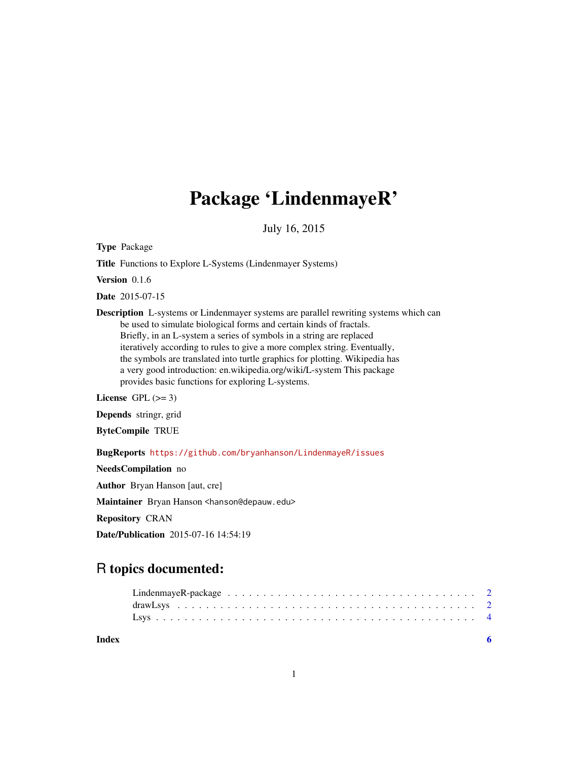# Package 'LindenmayeR'

July 16, 2015

<span id="page-0-0"></span>Type Package

Title Functions to Explore L-Systems (Lindenmayer Systems)

Version 0.1.6

Date 2015-07-15

Description L-systems or Lindenmayer systems are parallel rewriting systems which can be used to simulate biological forms and certain kinds of fractals. Briefly, in an L-system a series of symbols in a string are replaced iteratively according to rules to give a more complex string. Eventually, the symbols are translated into turtle graphics for plotting. Wikipedia has a very good introduction: en.wikipedia.org/wiki/L-system This package provides basic functions for exploring L-systems.

License GPL  $(>= 3)$ 

Depends stringr, grid

ByteCompile TRUE

BugReports <https://github.com/bryanhanson/LindenmayeR/issues>

NeedsCompilation no Author Bryan Hanson [aut, cre] Maintainer Bryan Hanson <hanson@depauw.edu> Repository CRAN Date/Publication 2015-07-16 14:54:19

## R topics documented:

| Index |  |  |  |  |  |  |  |  |  |  |  |  |  |  |  |  |  |  |
|-------|--|--|--|--|--|--|--|--|--|--|--|--|--|--|--|--|--|--|
|       |  |  |  |  |  |  |  |  |  |  |  |  |  |  |  |  |  |  |

1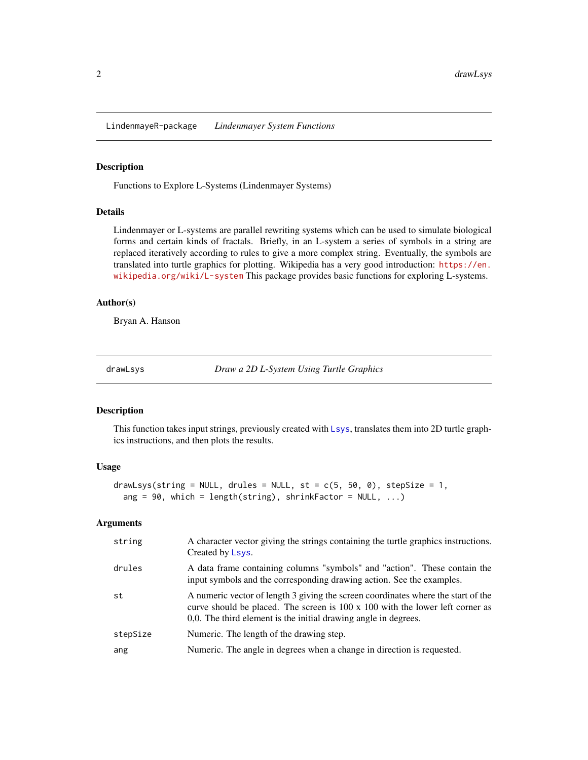<span id="page-1-0"></span>LindenmayeR-package *Lindenmayer System Functions*

#### Description

Functions to Explore L-Systems (Lindenmayer Systems)

#### Details

Lindenmayer or L-systems are parallel rewriting systems which can be used to simulate biological forms and certain kinds of fractals. Briefly, in an L-system a series of symbols in a string are replaced iteratively according to rules to give a more complex string. Eventually, the symbols are translated into turtle graphics for plotting. Wikipedia has a very good introduction: [https://en.](https://en.wikipedia.org/wiki/L-system) [wikipedia.org/wiki/L-system](https://en.wikipedia.org/wiki/L-system) This package provides basic functions for exploring L-systems.

#### Author(s)

Bryan A. Hanson

<span id="page-1-1"></span>drawLsys *Draw a 2D L-System Using Turtle Graphics*

#### Description

This function takes input strings, previously created with [Lsys](#page-3-1), translates them into 2D turtle graphics instructions, and then plots the results.

#### Usage

```
drawLsys(string = NULL, drules = NULL, st = c(5, 50, 0), stepSize = 1,
  ang = 90, which = length(string), shrinkFactor = NULL, ...)
```
#### Arguments

| string   | A character vector giving the strings containing the turtle graphics instructions.<br>Created by Lsys.                                                                                                                                |
|----------|---------------------------------------------------------------------------------------------------------------------------------------------------------------------------------------------------------------------------------------|
| drules   | A data frame containing columns "symbols" and "action". These contain the<br>input symbols and the corresponding drawing action. See the examples.                                                                                    |
| st       | A numeric vector of length 3 giving the screen coordinates where the start of the<br>curve should be placed. The screen is 100 x 100 with the lower left corner as<br>0,0. The third element is the initial drawing angle in degrees. |
| stepSize | Numeric. The length of the drawing step.                                                                                                                                                                                              |
| ang      | Numeric. The angle in degrees when a change in direction is requested.                                                                                                                                                                |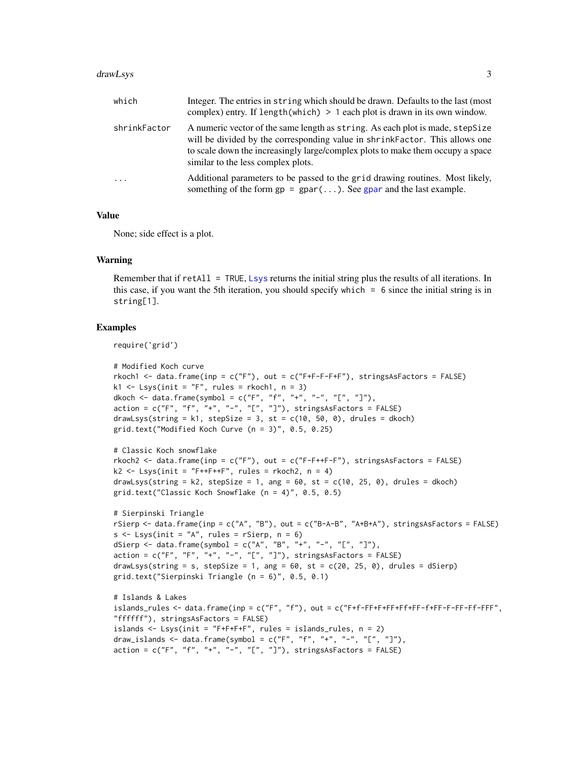#### <span id="page-2-0"></span>drawLsys 3

| which        | Integer. The entries in string which should be drawn. Defaults to the last (most<br>complex) entry. If $length(which) > 1$ each plot is drawn in its own window.                                                                                                                     |
|--------------|--------------------------------------------------------------------------------------------------------------------------------------------------------------------------------------------------------------------------------------------------------------------------------------|
| shrinkFactor | A numeric vector of the same length as string. As each plot is made, stepSize<br>will be divided by the corresponding value in shrinkFactor. This allows one<br>to scale down the increasingly large/complex plots to make them occupy a space<br>similar to the less complex plots. |
| $\cdots$     | Additional parameters to be passed to the grid drawing routines. Most likely,<br>something of the form $gp = gpar(\dots)$ . See gpar and the last example.                                                                                                                           |

#### Value

None; side effect is a plot.

#### Warning

Remember that if retAll = TRUE, [Lsys](#page-3-1) returns the initial string plus the results of all iterations. In this case, if you want the 5th iteration, you should specify which = 6 since the initial string is in string[1].

#### Examples

```
require('grid')
```

```
# Modified Koch curve
rkoch1 <- data.frame(inp = c("F"), out = c("F+F-F-F+F"), stringsAsFactors = FALSE)
k1 \leq - Lsys(init = "F", rules = rkoch1, n = 3)
dkoch \leq data.frame(symbol = c("F", "f", "+", "-", "[", "]"),
action = c("F", "f", "+", "-", "L", "J"), stringsAsFactors = FALSE)drawLsys(string = k1, stepSize = 3, st = c(10, 50, 0), drules = dkoch)
grid.text("Modified Koch Curve (n = 3)", 0.5, 0.25)
# Classic Koch snowflake
rkoch2 <- data.frame(inp = c("F"), out = c("F-F++F-F"), stringsAsFactors = FALSE)
k2 \leq Lsys(int = "F++F++F", rules = rhech2, n = 4)drawLsys(string = k2, stepSize = 1, ang = 60, st = c(10, 25, 0), drules = dkoch)
grid.text("Classic Koch Snowflake (n = 4)", 0.5, 0.5)
# Sierpinski Triangle
rSierp \le - data.frame(inp = c("A", "B"), out = c("B-A-B", "A+B+A"), stringsAsFactors = FALSE)
s \leq Lsys(int = "A", rules = rSierp, n = 6)dSierp \leq data.frame(symbol = c("A", "B", "+", "-", "[", "]"),
action = c("F", "F", "+", "-", "[", "]"), stringsAsFactors = FALSE)
drawLsys(string = s, stepSize = 1, ang = 60, st = c(20, 25, 0), drules = dSierp)
grid.text("Sierpinski Triangle (n = 6)", 0.5, 0.1)
# Islands & Lakes
islands_rules <- data.frame(inp = c("F", "f"), out = c("F+f-FF+F+FF+Ff+FF-f+FF-F-FF-Ff-FFF",
"ffffff"), stringsAsFactors = FALSE)
islands <- Lsys(init = "F+F+F+F", rules = islands_rules, n = 2)
draw_islands <- data.frame(symbol = c("F", "f", "+", "-", "[", "]"),
action = c("F", "f", "+", "-", "L", "J"), stringsAsFactors = FALSE)
```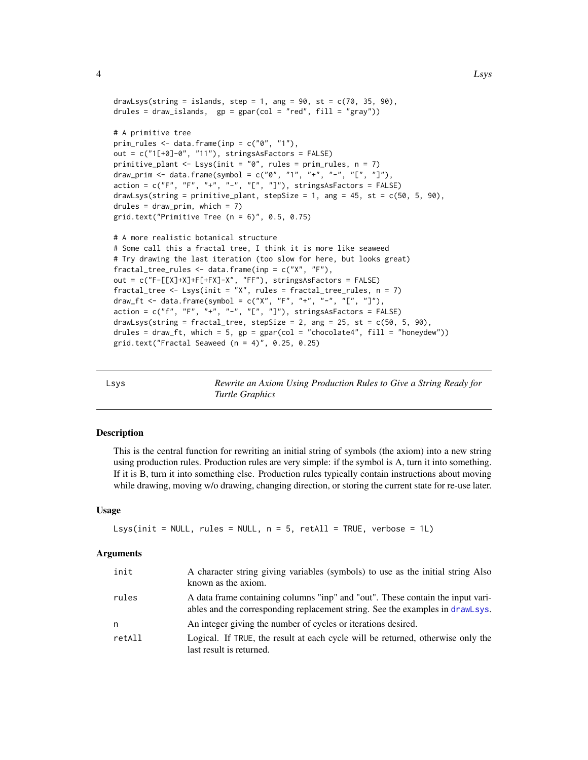```
drawLsys(string = islands, step = 1, ang = 90, st = c(70, 35, 90),
drules = draw_islands, gp = gpar(col = "red", fill = "gray"))# A primitive tree
prim_rules \leq data.frame(inp = c("0", "1"),
out = c("1[+0]-0", "11"), stringsAsFactors = FALSE)
primitive_plant <- Lsys(init = "0", rules = prim_rules, n = 7)
draw_prim <- data.frame(symbol = c("0", "1", "+", "-", "[", "]"),action = c("F", "F", "+", "-", "L", "]"), stringsAsFactors = FALSE)
drawLsys(string = primitive_plant, stepSize = 1, ang = 45, st = c(50, 5, 90),
drules = draw_prim, which = 7)
grid.text("Primitive Tree (n = 6)", 0.5, 0.75)
# A more realistic botanical structure
# Some call this a fractal tree, I think it is more like seaweed
# Try drawing the last iteration (too slow for here, but looks great)
fractal_tree_rules <- data.frame(inp = c("X", "F"),
out = c("F-[[X]+X]+F[+FX]-X", "FF"), stringsAsFactors = FALSE)
fractal_tree <- Lsys(init = "X", rules = fractal_tree_rules, n = 7)
draw_ft <- data.frame(symbol = c("X", "F", "+", "-", "[", "]"),
action = c("f", "F", "+", "-", "L", "J"), stringsAsFactors = FALSE)drawLsys(string = fractal_tree, stepSize = 2, ang = 25, st = c(50, 5, 90),
drules = draw_ft, which = 5, gp = gpar(col = "chocolate4", fill = "honeydev"))grid.text("Fractal Seaweed (n = 4)", 0.25, 0.25)
```
<span id="page-3-1"></span>

| Lsys | Rewrite an Axiom Using Production Rules to Give a String Ready for |
|------|--------------------------------------------------------------------|
|      | Turtle Graphics                                                    |

#### Description

This is the central function for rewriting an initial string of symbols (the axiom) into a new string using production rules. Production rules are very simple: if the symbol is A, turn it into something. If it is B, turn it into something else. Production rules typically contain instructions about moving while drawing, moving w/o drawing, changing direction, or storing the current state for re-use later.

#### Usage

```
Lsys(init = NULL, rules = NULL, n = 5, retAll = TRUE, verbose = 1L)
```
#### Arguments

| init   | A character string giving variables (symbols) to use as the initial string Also<br>known as the axiom.                                                          |
|--------|-----------------------------------------------------------------------------------------------------------------------------------------------------------------|
| rules  | A data frame containing columns "inp" and "out". These contain the input vari-<br>ables and the corresponding replacement string. See the examples in drawLsys. |
| n      | An integer giving the number of cycles or iterations desired.                                                                                                   |
| retAll | Logical. If TRUE, the result at each cycle will be returned, otherwise only the<br>last result is returned.                                                     |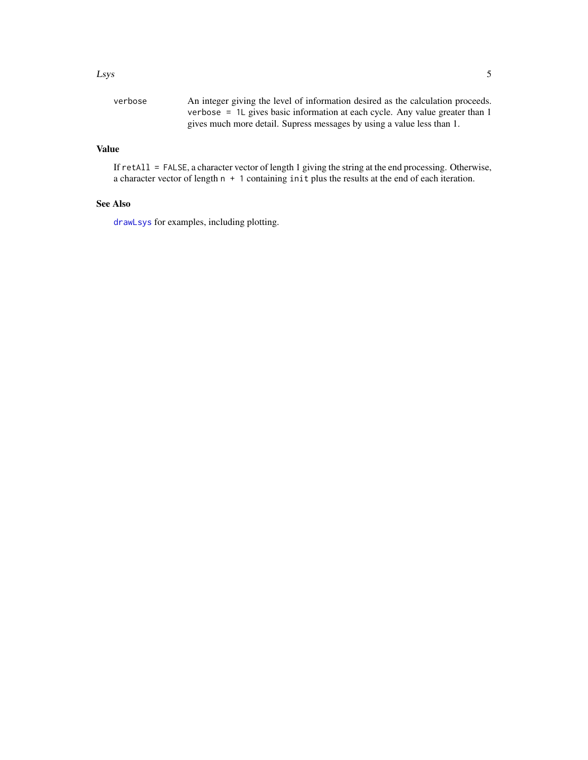#### <span id="page-4-0"></span>Lsys 5

| verbose | An integer giving the level of information desired as the calculation proceeds. |
|---------|---------------------------------------------------------------------------------|
|         | verbose = $1L$ gives basic information at each cycle. Any value greater than 1  |
|         | gives much more detail. Supress messages by using a value less than 1.          |

### Value

If retAll = FALSE, a character vector of length 1 giving the string at the end processing. Otherwise, a character vector of length n + 1 containing init plus the results at the end of each iteration.

#### See Also

[drawLsys](#page-1-1) for examples, including plotting.